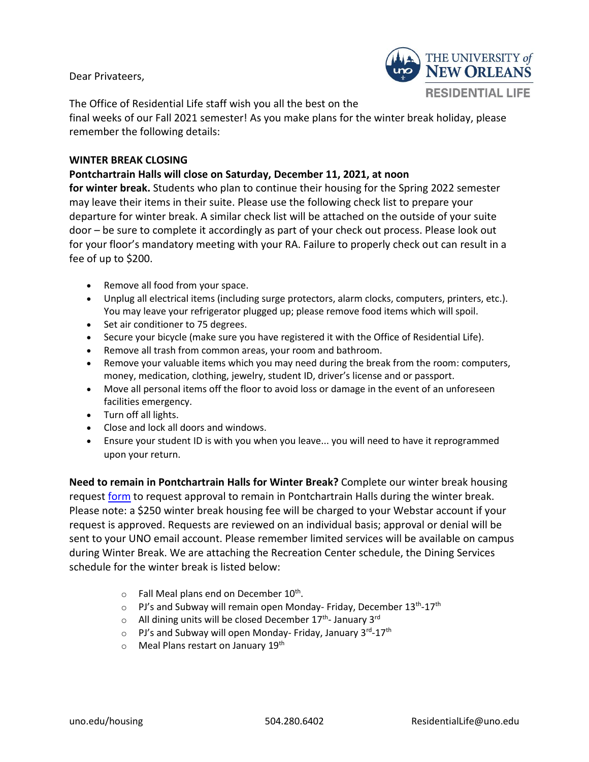Dear Privateers,



The Office of Residential Life staff wish you all the best on the

final weeks of our Fall 2021 semester! As you make plans for the winter break holiday, please remember the following details: 

#### **WINTER BREAK CLOSING**

# **Pontchartrain Halls will close on Saturday, December 11, 2021, at noon**

**for winter break.**Students who plan to continue their housing for the Spring 2022 semester may leave their items in their suite. Please use the following check list to prepare your departure for winter break. A similar check list will be attached on the outside of your suite door – be sure to complete it accordingly as part of your check out process. Please look out for your floor's mandatory meeting with your RA. Failure to properly check out can result in a fee of up to \$200.

- Remove all food from your space.
- Unplug all electrical items (including surge protectors, alarm clocks, computers, printers, etc.). You may leave your refrigerator plugged up; please remove food items which will spoil.
- Set air conditioner to 75 degrees.
- Secure your bicycle (make sure you have registered it with the Office of Residential Life).
- Remove all trash from common areas, your room and bathroom.
- Remove your valuable items which you may need during the break from the room: computers, money, medication, clothing, jewelry, student ID, driver's license and or passport.
- Move all personal items off the floor to avoid loss or damage in the event of an unforeseen facilities emergency.
- Turn off all lights.
- Close and lock all doors and windows.
- Ensure your student ID is with you when you leave... you will need to have it reprogrammed upon your return.

**Need to remain in Pontchartrain Halls for Winter Break?** Complete our winter break housing request [form](https://nam12.safelinks.protection.outlook.com/?url=https%3A%2F%2Fdocs.google.com%2Fforms%2Fd%2Fe%2F1FAIpQLScEoxKz-Y5Lx0_M3qqWMtzUsJrZBKUIXt2WCpeZ8_OcoMvN-A%2Fviewform%3Fusp%3Dsf_link&data=04%7C01%7Ccndiritu%40uno.edu%7C321a052d6aff4471868708d997e8179a%7C31d4dbf540044469bfeedf294a9de150%7C0%7C0%7C637707845355403288%7CUnknown%7CTWFpbGZsb3d8eyJWIjoiMC4wLjAwMDAiLCJQIjoiV2luMzIiLCJBTiI6Ik1haWwiLCJXVCI6Mn0%3D%7C1000&sdata=vHbZqJgrJCe7hl%2FUuTAGCn4g7lX0gNB7QNJ28TtO5uk%3D&reserved=0) to request approval to remain in Pontchartrain Halls during the winter break. Please note: a \$250 winter break housing fee will be charged to your Webstar account if your request is approved. Requests are reviewed on an individual basis; approval or denial will be sent to your UNO email account. Please remember limited services will be available on campus during Winter Break. We are attaching the Recreation Center schedule, the Dining Services schedule for the winter break is listed below:

- $\circ$  Fall Meal plans end on December 10<sup>th</sup>.
- $\circ$  PJ's and Subway will remain open Monday-Friday, December 13<sup>th</sup>-17<sup>th</sup>
- $\circ$  All dining units will be closed December 17<sup>th</sup>- January 3<sup>rd</sup>
- $\circ$  PJ's and Subway will open Monday- Friday, January 3<sup>rd</sup>-17<sup>th</sup>
- o Meal Plans restart on January 19<sup>th</sup>